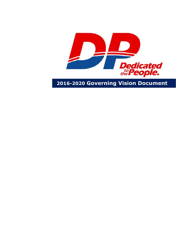

**2016 -2020 Governing Vision Document**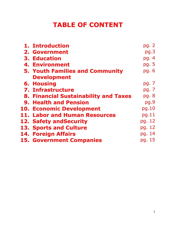### **TABLE OF CONTENT**

| 1. Introduction                        | pg. 2  |
|----------------------------------------|--------|
| <b>2. Government</b>                   | pg.3   |
| <b>3. Education</b>                    | pg. 4  |
| <b>4. Environment</b>                  | pg. 5  |
| <b>5. Youth Families and Community</b> | pg. 6  |
| <b>Development</b>                     |        |
| <b>6. Housing</b>                      | pg. 7  |
| <b>7. Infrastructure</b>               | pg. 7  |
| 8. Financial Sustainability and Taxes  | pg. 8  |
| <b>9. Health and Pension</b>           | pq.9   |
| <b>10. Economic Development</b>        | pg.10  |
| 11. Labor and Human Resources          | pg.11  |
| 12. Safety and Security                | pg. 12 |
| <b>13. Sports and Culture</b>          | pg. 12 |
| <b>14. Foreign Affairs</b>             | pg. 14 |
| <b>15. Government Companies</b>        | pg. 15 |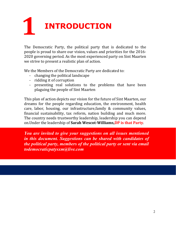# **1 INTRODUCTION**

The Democratic Party, the political party that is dedicated to the people is proud to share our vision, values and priorities for the 2016- 2020 governing period. As the most experienced party on Sint Maarten we strive to present a realistic plan of action.

We the Members of the Democratic Party are dedicated to:

- changing the political landscape
- ridding it of corruption
- presenting real solutions to the problems that have been plaguing the people of Sint Maarten

This plan of action depicts our vision for the future of Sint Maarten, our dreams for the people regarding education, the environment, health care, labor, housing, our infrastructure,family & community values, financial sustainability, tax reform, nation building and much more. The country needs trustworthy leadership, leadership you can depend on.Under the leadership of **Sarah Wescot-Williams,DP is that Party**.

*You are invited to give your suggestions on all issues mentioned in this document. Suggestions can be shared with candidates of the political party, members of the political party or sent via email todemocraticpatysxm@live.com*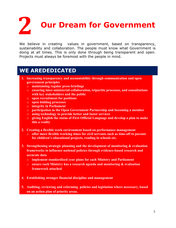**2 Our Dream for Government**

We believe in creating values in government, based on transparency, sustainability and collaboration. The people must know what Government is doing at all times. This is only done through being transparent and open. Projects must always be foremost with the people in mind.

- **1. Increasing transparency and accountability through communication and open government principles**
	- o **maintaining regular press briefings**
	- o **ensuring inter-ministerial collaboration, tripartite processes, and consultations with key stakeholders and the public**
	- o **open recruitment for positions**
	- o **open bidding processes**
	- o **integrity in Parliament**
	- o **participation in the Open Government Partnership and becoming a member**
	- o **using technology to provide better and faster services**
	- o **giving English the status of First Official Language and develop a plan to make this a reality**
- **2. Creating a flexible work environment based on performance management**
	- o **offer more flexible working times for civil servants such as time-off to parents for children's educational projects, reading in schools etc.**
- **3. Strengthening strategic planning and the development of monitoring & evaluation frameworks to influence national policies through evidence-based research and accurate data**
	- o **implement standardized year plans for each Ministry and Parliament**
	- o **ensure each Ministry has a research agenda and monitoring & evaluation framework attached**
- **4. Establishing stronger financial discipline and management**
- **5. Auditing, reviewing and reforming policies and legislation where necessary, based on an action plan of priority areas.**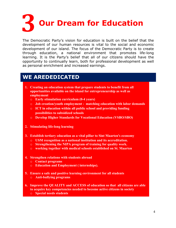

The Democratic Party's vision for education is built on the belief that the development of our human resources is vital to the social and economic development of our island. The focus of the Democratic Party is to create through education, a national environment that promotes life-long learning. It is the Party's belief that all of our citizens should have the opportunity to continually learn, both for professional development as well as personal enrichment and increased earnings.

- **1. Creating an education system that prepare students to benefit from all opportunities available on the island for entrepreneurship as well as employment**
	- o **Early stimulation curriculum (0-4 years)**
	- o **Job creation/youth employment matching education with labor demands**
	- o **ICT in education within all public school and providing funding possibilities to subsidized schools**
	- o **Develop Higher Standards for Vocational Education (VSBO/SBO)**
- **2. Stimulating life-long learning**
- **3. Establish tertiary education as a vital pillar to Sint Maarten's economy**
	- o **USM recognition as a national institution and its accreditation.**
	- o **Strengthening the NIPA program of training for quality work.**
	- o **working together with medical schools established on St. Maarten**
- **4. Strengthen relations with students abroad**
	- o **Contact programs**
	- o **Education and Employment ( internships).**
- **5. Ensure a safe and positive learning environment for all students** o **Anti-bullying programs**
- **6. Improve the QUALITY and ACCESS of education so that all citizens are able to acquire key competencies needed to become active citizens in society**
	- o **Special needs students**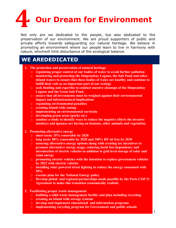# **4 Our Dream for Environment**

Not only are we dedicated to the people, but also dedicated to the preservation of our environment. We are proud supporters of public and private efforts towards safeguarding our natural heritage. We believe in promoting an environment where our people learn to live in harmony with nature, whichwill limit disturbance of the ecological balance.

- **1. The protection and preservation of natural heritage**
	- o **regulating proper control of our bodies of water to avoid further pollution**
	- o **monitoring and protecting the Simpsonbay Lagoon, the Salt Pond and other inland waters to ensure that these bodies of water are healthy and continue to fulfill their role as an important part of our ecology**
	- o **seek funding and expertise to conduct massive cleanups of the Simpsonbay Lagoon and the Great Salt Pond.**
	- o **ensure that all investments must be weighed against their environmental impact and infrastructural implications**
	- o **regulating environmental penalties**
	- o **creating island-wide zoning**
	- o **implementing an environmental curricula**
	- o **developing green areas (parks etc.)**
	- o **conduct a study to identify ways to reduce the negative effects the invasive monkeys and iguanas are having on humans, other animals and vegetation.**
- **2. Promoting alternative energy**
	- o **short term: 35% renewable by 2020**
	- o **long term: 80% renewable by 2028 and 100% HF oil free by 2030**
	- o **ensuring alternative energy options along with creating tax incentives to promote alternative energy usage, reducing fossil fuel dependency and introduction of electric vehicles in addition to grid level storage of solar and wind energy**
	- o **promoting electric vehicles with the intention to replace government vehicles by 2022 with electric vehicles**
	- o **installing solar powered street lighting to reduce the energy consumed with 50%**
	- o **execute plan for the National Energy policy**
	- o **Develop global and regional partnerships made possible by the Paris COP 21 Agreement to make this transition economically realistic**
- **3. Facilitating proper waste management**
	- o **building a solid waste management facility and plan including recycling**
	- o **creating an island wide sewage systems**
	- o **develop and implement educational and information programs**
	- o **implementing recycling program for Government and public schools**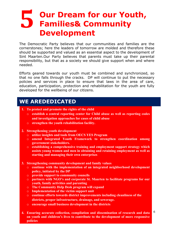### **5 Our Dream for our Youth, Families& Community Development**

The Democratic Party believes that our communities and families are the cornerstones; here the leaders of tomorrow are molded and therefore these should be supported and valued as an essential aspect to the development of Sint Maarten.Our Party believes that parents must take up their parental responsibility, but that as a society we should give support when and where needed.

Efforts geared towards our youth must be combined and synchronized, so that no one falls through the cracks. DP will continue to put the necessary policies and services in place to ensure that laws in the area of care, education, participation, protection and rehabilitation for the youth are fully developed for the wellbeing of our citizens.

- **1. To protect and promote the rights of the child**
	- o **establish a central reporting center for Child abuse as well as reporting codes and investigation approaches for cases of child abuse**
	- o **strengthen the youth rehabilitation facility.**
- **2. Strengthening youth development**
	- o **utilize insights and tools from OECS YES Program**
	- o **amend Integrated Youth Framework to strengthen coordination among government stakeholders.**
	- o **establishing a comprehensive training and employment support strategy which assists young women and men in obtaining and retaining employment as well as starting and managing their own enterprises**
- **3. Strengthening community development and family values**
	- o **continue with the implementation of an integrated neighborhood development policy, initiated by the DP**
	- o **provide support to community councils**
	- o **partners with NGO's and corporate St. Maarten to facilitate programs for our youth, family activities and parenting**
	- o **The Community Help Desk program will expand**
	- o **Implementation of the victim support unit**
	- o **continue efforts towards district improvements including cleanliness of the districts, proper infrastructure, drainage, and sewerage.**
	- o **encourage small business development in the districts**
- 6 **4. Ensuring accurate collection, compilation and dissemination of research and data on youth and children's lives to contribute to the development of more responsive policies**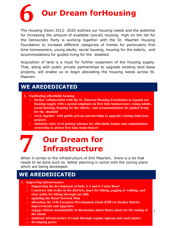

The Housing Vision 2012- 2020 outlines our housing needs and the potential for increasing the amount of available (social) housing. High on the list for the Democratic Party is working together with the St. Maarten Housing Foundation to increase different categories of homes for particularly first time homeowners, young adults, social housing, housing for the elderly, and accommodations for guided living for the disabled.

Acquisition of land is a must for further expansion of the housing supply. That, along with public private partnerships to upgrade existing land lease projects, will enable us to begin alleviating the housing needs across St. Maarten.

#### **WE AREDEDICATED**

- **1. Facilitating affordable housing**
	- o **further collaboration with the St. Maarten Housing Foundation to expand our housing supply with a special emphasis on first time homeowners, young adults, social housing, housing for the elderly, and accommodations for guided living for the disabled**
	- o **work together with public private partnerships to upgrade existing land lease projects**
	- o **stimulate entry level pricing schemes for affordable homes and condominium ownership to attract first time home-buyers**

### **7 Our Dream for Infrastructure**

When it comes to the infrastructure of Sint Maarten, there is a lot that needs to be done such as better planning in synch with the zoning plans which are being developed.

- **1. Improving infrastructure**
	- o **Supporting the development of links 3, 4 and 6, Union Road**
	- o **Construct side-walks in the districts, lanes for biking, jogging & walking, and clear paths for hiking through our hills**
	- o **updating the Road Network Plan**
	- o **allocating the 11th European Development Fund (EDF) to further district improvements and upgrades.**
	- o **engage citizens meaningfully in discussions about future plans for the zoning of the island**
	- o **maintain infrastructure of roads through regular upkeep and road repairs**
	- o **developing parks**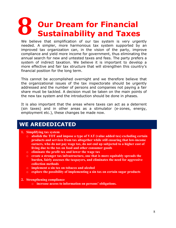# **8 Our Dream for Financial Sustainability and Taxes**

We believe that simplification of our tax system is very urgently needed. A simpler, more harmonious tax system supported by an improved tax organization can, in the vision of the party, improve compliance and yield more income for government, thus eliminating the annual search for new and untested taxes and fees. The party prefers a system of indirect taxation. We believe it is important to develop a more effective and fair tax structure that will strengthen this country's financial position for the long term.

This cannot be accomplished overnight and we therefore believe that the organizational issues of the tax inspectorate should be urgently addressed and the number of persons and companies not paying a fair share must be tackled. A decision must be taken on the main points of the new tax system and the introduction should be done in phases.

It is also important that the areas where taxes can act as a deterrent (sin taxes) and in other areas as a stimulator (e-zones, energy, employment etc.), these changes be made now.

#### **WE AREDEDICATED**

#### **1. Simplifying tax system**

- o **abolish the TOT and impose a type of VAT (value added tax) excluding certain products and services from tax altogether while still ensuring that low-income earners, who do not pay wage tax, do not end up subjected to a higher cost of living due to the tax on food and other consumer goods**
- o **eliminate the profit tax and lower the wage tax**
- o **create a stronger tax infrastructure, one that is more equitably spreads the burden, fairly assesses the taxpayers, and eliminates the need for aggressive collection methods**
- o **implement a sin tax on tobacco and alcohol**
- o **explore the possibility of implementing a sin tax on certain sugar products**
- **2. Strengthening compliance**
	- o **increase access to information on persons' obligations.**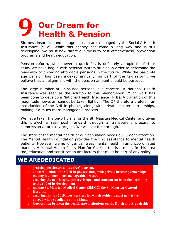### **9 Our Dream for Health & Pension**

Sickness insurance and old age pension are managed by the Social & Health Insurance (SZV). While this agency has come a long way and is still developing, we must now direct our focus to cost effectiveness, prevention programs and health education.

Pension reform, while never a quick fix, is definitely a topic for further study.We have begun with pension system studies in order to determine the feasibility of providing affordable pensions in the future. While the basic old age pension has been indexed annually, as part of the tax reform, we believe that an alignment with the pension amount should be pursued.

The large number of uninsured persons is a concern. A National Health Insurance was seen as the solution to this phenomenon. Much work has been done to develop a National Health Insurance (NHI). A transition of this magnitude however, cannot be taken lightly. The DP therefore prefers an introduction of the NHI in phases, along with private insurer partnerships, making it a much more manageable process.

We have taken the on-off plans for the St. Maarten Medical Center and given this project a real push forward through a transparent process to commission a turn-key project. We will see this through.

The state of the mental health of our population needs our urgent attention. The Mental Health Foundation provides the first assistance to mental health patients. However, we no longer can treat mental health in an uncoordinated manner. A Mental Health Policy Plan for St. Maarten is a must. In this area too, education and sensitization are factors that must be part of any policy.

- o **granting pensioners a "tax-free" pension.**
- o **an introduction of the NHI in phases, along with private insurer partnerships, making it a much more manageable process.**
- o **ensuring the new hospital process is open and transparent from the beginning to the end of its development**
- o **making St. Maarten Medical Center (SMMC) the St. Maarten General Hospital.**
- o **ensuring that by 2019, most services for which residents must now travel abroad will be available on the island**
- o **Cooperation between the health care institutions on the Dutch and French side**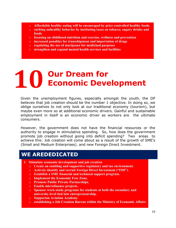- o **Affordable healthy eating will be encouraged by price controlled healthy foods.**
- o **curbing unhealthy behavior by instituting taxes on tobacco, sugary drinks and foods**
- o **focusing on childhood nutrition and exercise, wellness and prevention**
- o **increased penalties for transshipment and importation of drugs**
- o **regulating the use of marijuana for medicinal purposes**
- o **strengthen and expand mental health services and facilities**

# **10 Our Dream for Economic Development**

Given the unemployment figures, especially amongst the youth, the DP believes that job creation should be the number 1 objective. In doing so, we oblige ourselves to not only look at our traditional economy (tourism), but maybe even more so at additional economic drivers. Gainful and sustainable employment in itself is an economic driver as workers are the ultimate consumers.

However, the government does not have the financial resources or the authority to engage in stimulative spending. So, how does the government promote job creation without going into deficit spending? Two areas to achieve this: Job creation will come about as a result of the growth of SME's (Small and Medium Enterprises). and new Foreign Direct Investment.

- **1. Stimulate economic development and job creation**
	- o **Create an enabling and supportive regulatory and tax environment.**
	- o **Actively identify and recruit Foreign Direct Investment ("FDI").**
	- o **Establish a SME financial and technical support program.**
	- o **Implement the Economic Free Zone.**
	- o **Promote Public Private Partnerships.**
	- o **Enable microfinance projects.**
	- o **Sponsor work-study programs for students at both the secondary and university level tied into entrepreneurship.**
	- o **Supportan Aviation Academy**
	- o **establishing a Job Creation Bureau within the Ministry of Economic Affairs**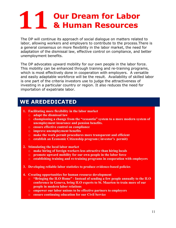# **11 Our Dream for Labor & Human Resources**

The DP will continue its approach of social dialogue on matters related to labor, allowing workers and employers to contribute to the process.There is a general consensus on more flexibility in the labor market, the need for adaptation of the dismissal law, effective control on compliance, and better unemployment benefits.

The DP advocates upward mobility for our own people in the labor force. This mobility can be enhanced through training and re-training programs, which is most effectively done in cooperation with employers. A versatile and easily adaptable workforce will be the result. Availability of skilled labor is one part of the criteria investors use to judge the attractiveness of investing in a particular country or region. It also reduces the need for importation of expatriate labor.

- **1. Facilitating more flexibility in the labor market**
	- o **adapt the dismissal law**
	- o **championing a change from the "cessantia" system to a more modern system of unemployment insurance and pension benefits.**
	- o **ensure effective control on compliance**
	- o **improve unemployment benefits**
	- o **make the work permit procedures more transparent and efficient**
	- o **establish an Economic Citizenship program ( investor's permit)**
- **2. Stimulating the local labor market**
	- o **make hiring of foreign workers less attractive than hiring locals**
	- o **promote upward mobility for our own people in the labor force**
	- o **establishing training and re-training programs in cooperation with employers**
- **3. Developing reliable labor statistics to produce evidence-based policies**
- **4. Creating opportunities for human resource development**
	- o **"Bringing the ILO Home" - Instead of sending a few people annually to the ILO conference in Geneva, bring ILO experts to St. Maarten to train more of our people in modern labor relations**
	- o **empower our labor unions to be effective partners to employers**
	- o **ensure continuing education for our Civil Service**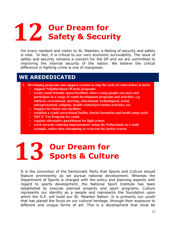# **12 Our Dream for Safety & Security**

For every resident and visitor to St. Maarten, a feeling of security and safety is vital. In fact, it is critical to our very economic survivability. The issue of safety and security remains a concern for the DP and we are committed to improving the internal security of the nation. We believe the critical difference in fighting crime is one of manpower.

#### **WE AREDEDICATED**

- **1. Developing programs and support systems to stop the cycle of crime before it starts**
	- o **support Neighborhood (Watch) programs**
	- o **create youth friendly spaces/facilities where young people can meet and participate in a range of youth development programs and activities, e.g. cultural, recreational, sporting, educational, technological, social, entrepreneurial, religious, health related/prevention activities, etc.**
	- o **Support for foster care facilities**
	- o **establish a youth correctional facility (Social formation and booth camp style)**
	- o **OECS' Yes Program for youth**
	- o **regulate alternative punishment for light crimes**
	- o **work towards reducing imprisonment- using the Netherlands as a study example, rather than attempting to re-invent the justice system**

# **13 Our Dream for Sports & Culture**

It is the conviction of the Democratic Party that Sports and Culture should feature prominently as we pursue national development. Whereas the Department of Sports is charged with the policy and planning aspects with regard to sports development, the National Sport Institute has been established to execute planned projects and sport programs. Culture represents our identity as a people and represents the foundation upon which the D.P. will build our St. Maarten Nation. It is primarily our youth that has placed the focus on our cultural heritage, through their exposure to different and unique forms of art. This is a development that must be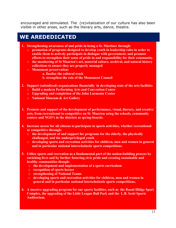encouraged and stimulated. The (re)vitalization of our culture has also been visible in other areas, such as the literary arts, dance, theatre.

- **1. Strengthening awareness of and pride in being a St. Martiner through:** 
	- o **promotion of programs designed to develop youth in leadership roles in order to enable them to actively participate in dialogue with government, and promote efforts to strengthen their sense of pride in and responsibility for their community.**
	- o **the monitoring of St Maarten's art, material culture, archival, and natural history collections to ensure they are properly managed**
	- o **Monument preservation:**
		- **a. finalize the cultural track**
		- **b. strengthen the role of the Monument Council**
- **2. Support (subsidized) organizations financially in developing state of the arts facilities**
	- o **Build a modern Performing Arts and Convention Center**
	- o **Upgrading and completion of the John Larmonie Center**
	- o **National Museum & Art Gallery**
- **3. Promote and support of the development of performance, visual, literary, and creative arts, from recreational to competitive on St. Maarten using the schools, community centers and NGO's in the districts as spring-boards.**
- **4. Increase access for all citizens to participate in sports activities, whether recreational or competitive through:**
	- o **the development of and support for programs for the elderly, the physically challenged, and the underprivileged youth**
	- o **developing sports and recreation activities for children, men and women in general and in particular national interscholastic sports competitions.**
- **5. Utilize sports and recreation as a fundamental part of the nation-building process by enriching lives and by further fostering civic pride and creating sustainable and healthy communities though:**
	- o **the development and implementation of a sports curriculum**
	- o **recognition of sports heroes**
	- o **strengthening of National Teams**
	- o **developing sports and recreation activities for children, men and women in general and in particular national interscholastic sports competitions,**
- **6. A massive upgrading program for our sports facilities, such as the Raoul Illidge Sport Complex, the upgrading of the Little League Ball Park and the L.B. Scott Sports Auditorium.**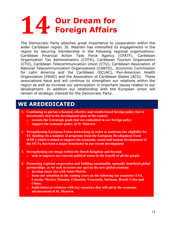# **14 Our Dream for Foreign Affairs**

The Democratic Party attaches great importance to cooperation within the wider Caribbean region. St. Maarten has intensified its engagements in the region by securing membership in the following regional organizations: Caribbean Financial Action Task Force Agency (CFATF), Caribbean Organization Tax Administrators (COTA), Caribbean Tourism Organization (CTO), Caribbean Telecommunication Union (CTU), Caribbean Association of National Telecommunication Organizations (CANTO), Economic Commission for Latin America and the Caribbean (ECLAC), Pan-American Health Organization (PAHO) and the Association of Caribbean States (ACS). These associations have and will continue to strengthen our relations within the region as well as increase our participation in important issues related to our development. In addition our relationship with the European Union will remain of strategic interest for the Democratic Party.

- **1. Continuing to pursue a focused, effective and results-based foreign policy that is inextricably tied to the development plan of the country**
	- o **execute the 4 strategic goals that are embedded in our foreign policy**
	- o **support the economic policy of St. Maarten**
- **2. Strengthening European Union networking in order to maintain our eligibility for EU funding via a number of programs from the European Development Fund (EDF), which is aimed to support the economic, social and human development of the OCTs, has been a major benefactor in our recent development**
- **3. Strengthening our image within the Dutch Kingdom and beyond.** o **seek to improve our current political status in the benefit of all the people**
- **4. Promoting regional cooperation and building sustainable, mutually beneficial global partnerships as we seek to secure our spot in the new global economy**
	- o **develop closer ties with Saint-Martin**
	- o **focus our attention in the coming years on the following ten countries: USA, Canada, Mexico, Panama, Colombia, Venezuela, Surinam, Brazil, Cuba and China.**
	- o **build bilateral relations with key countries that will aid in the economic advancement of St. Maarten.**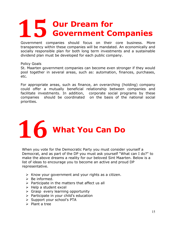# **15 Our Dream for Government Companies**

Government companies should focus on their core business. More transparency within these companies will be mandated. An economically and socially responsible plan for both long term investments and a sustainable dividend plan must be developed for each public company.

#### Policy Goals

St. Maarten government companies can become even stronger if they would pool together in several areas, such as: automation, finances, purchases, etc.

For appropriate areas, such as finance, an overarching (holding) company could offer a mutually beneficial relationship between companies and facilitate investments. In addition, corporate social programs by these companies should be coordinated on the basis of the national social priorities.



When you vote for the Democratic Party you must consider yourself a Democrat, and as part of the DP you must ask yourself "What can I do?" to make the above dreams a reality for our beloved Sint Maarten. Below is a list of ideas to encourage you to become an active and proud DP representative.

- $\triangleright$  Know your government and your rights as a citizen.
- $\triangleright$  Be informed.
- $\triangleright$  Participate in the matters that affect us all
- $\triangleright$  Help a student excel
- $\triangleright$  Grasp every learning opportunity
- $\triangleright$  Participate in your child's education
- $\triangleright$  Support your school's PTA
- $\triangleright$  Plant a tree